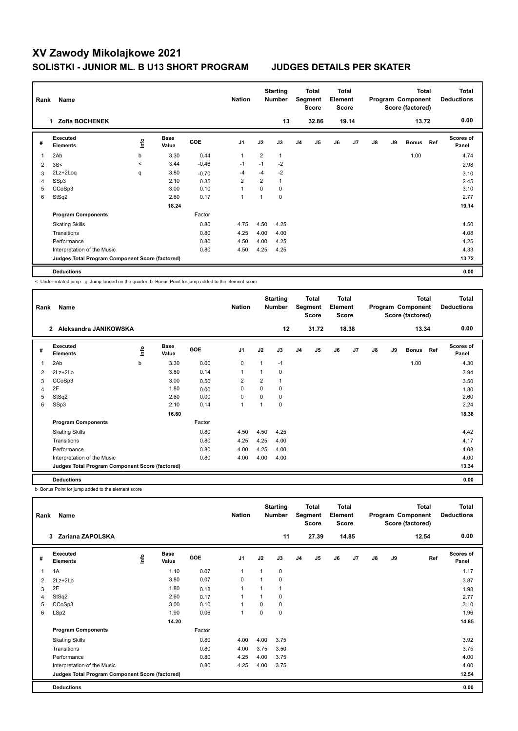| Rank | Name                                            |         |                      |            | <b>Nation</b>  |                | <b>Starting</b><br><b>Number</b> |                | Total<br>Segment<br><b>Score</b> | <b>Total</b><br>Element<br><b>Score</b> |                |    |    | <b>Total</b><br>Program Component<br>Score (factored) |     | <b>Total</b><br><b>Deductions</b> |
|------|-------------------------------------------------|---------|----------------------|------------|----------------|----------------|----------------------------------|----------------|----------------------------------|-----------------------------------------|----------------|----|----|-------------------------------------------------------|-----|-----------------------------------|
|      | <b>Zofia BOCHENEK</b><br>1.                     |         |                      |            |                |                | 13                               |                | 32.86                            |                                         | 19.14          |    |    | 13.72                                                 |     | 0.00                              |
| #    | Executed<br><b>Elements</b>                     | lnfo    | <b>Base</b><br>Value | <b>GOE</b> | J <sub>1</sub> | J2             | J3                               | J <sub>4</sub> | J <sub>5</sub>                   | J6                                      | J <sub>7</sub> | J8 | J9 | <b>Bonus</b>                                          | Ref | <b>Scores of</b><br>Panel         |
| 1    | 2Ab                                             | b       | 3.30                 | 0.44       | $\overline{1}$ | $\overline{2}$ | $\mathbf{1}$                     |                |                                  |                                         |                |    |    | 1.00                                                  |     | 4.74                              |
| 2    | 3S<                                             | $\prec$ | 3.44                 | $-0.46$    | $-1$           | $-1$           | $-2$                             |                |                                  |                                         |                |    |    |                                                       |     | 2.98                              |
| 3    | 2Lz+2Loq                                        | q       | 3.80                 | $-0.70$    | $-4$           | $-4$           | $-2$                             |                |                                  |                                         |                |    |    |                                                       |     | 3.10                              |
| 4    | SSp3                                            |         | 2.10                 | 0.35       | $\overline{2}$ | $\overline{2}$ |                                  |                |                                  |                                         |                |    |    |                                                       |     | 2.45                              |
| 5    | CCoSp3                                          |         | 3.00                 | 0.10       | $\overline{1}$ | $\Omega$       | $\Omega$                         |                |                                  |                                         |                |    |    |                                                       |     | 3.10                              |
| 6    | StSq2                                           |         | 2.60                 | 0.17       | $\overline{1}$ | 1              | $\mathbf 0$                      |                |                                  |                                         |                |    |    |                                                       |     | 2.77                              |
|      |                                                 |         | 18.24                |            |                |                |                                  |                |                                  |                                         |                |    |    |                                                       |     | 19.14                             |
|      | <b>Program Components</b>                       |         |                      | Factor     |                |                |                                  |                |                                  |                                         |                |    |    |                                                       |     |                                   |
|      | <b>Skating Skills</b>                           |         |                      | 0.80       | 4.75           | 4.50           | 4.25                             |                |                                  |                                         |                |    |    |                                                       |     | 4.50                              |
|      | Transitions                                     |         |                      | 0.80       | 4.25           | 4.00           | 4.00                             |                |                                  |                                         |                |    |    |                                                       |     | 4.08                              |
|      | Performance                                     |         |                      | 0.80       | 4.50           | 4.00           | 4.25                             |                |                                  |                                         |                |    |    |                                                       |     | 4.25                              |
|      | Interpretation of the Music                     |         |                      | 0.80       | 4.50           | 4.25           | 4.25                             |                |                                  |                                         |                |    |    |                                                       |     | 4.33                              |
|      | Judges Total Program Component Score (factored) |         |                      |            |                |                |                                  |                |                                  |                                         |                |    |    |                                                       |     | 13.72                             |
|      | <b>Deductions</b>                               |         |                      |            |                |                |                                  |                |                                  |                                         |                |    |    |                                                       |     | 0.00                              |

< Under-rotated jump q Jump landed on the quarter b Bonus Point for jump added to the element score

| Rank | Name                                            |   |                      |            | <b>Nation</b>  |              | <b>Starting</b><br><b>Number</b> |                | Total<br>Segment<br><b>Score</b> | <b>Total</b><br>Element<br><b>Score</b> |       |    |    | <b>Total</b><br>Program Component<br>Score (factored) |     | <b>Total</b><br><b>Deductions</b> |
|------|-------------------------------------------------|---|----------------------|------------|----------------|--------------|----------------------------------|----------------|----------------------------------|-----------------------------------------|-------|----|----|-------------------------------------------------------|-----|-----------------------------------|
|      | Aleksandra JANIKOWSKA<br>$\overline{2}$         |   |                      |            |                |              | 12                               |                | 31.72                            |                                         | 18.38 |    |    | 13.34                                                 |     | 0.00                              |
| #    | Executed<br><b>Elements</b>                     | ۴ | <b>Base</b><br>Value | <b>GOE</b> | J <sub>1</sub> | J2           | J3                               | J <sub>4</sub> | J5                               | J6                                      | J7    | J8 | J9 | <b>Bonus</b>                                          | Ref | <b>Scores of</b><br>Panel         |
| 1    | 2Ab                                             | b | 3.30                 | 0.00       | 0              | $\mathbf{1}$ | $-1$                             |                |                                  |                                         |       |    |    | 1.00                                                  |     | 4.30                              |
| 2    | 2Lz+2Lo                                         |   | 3.80                 | 0.14       | $\mathbf{1}$   | 1            | 0                                |                |                                  |                                         |       |    |    |                                                       |     | 3.94                              |
| 3    | CCoSp3                                          |   | 3.00                 | 0.50       | 2              | 2            | 1                                |                |                                  |                                         |       |    |    |                                                       |     | 3.50                              |
| 4    | 2F                                              |   | 1.80                 | 0.00       | 0              | $\Omega$     | 0                                |                |                                  |                                         |       |    |    |                                                       |     | 1.80                              |
| 5    | StSq2                                           |   | 2.60                 | 0.00       | 0              | $\Omega$     | 0                                |                |                                  |                                         |       |    |    |                                                       |     | 2.60                              |
| 6    | SSp3                                            |   | 2.10                 | 0.14       | $\overline{1}$ | 1            | 0                                |                |                                  |                                         |       |    |    |                                                       |     | 2.24                              |
|      |                                                 |   | 16.60                |            |                |              |                                  |                |                                  |                                         |       |    |    |                                                       |     | 18.38                             |
|      | <b>Program Components</b>                       |   |                      | Factor     |                |              |                                  |                |                                  |                                         |       |    |    |                                                       |     |                                   |
|      | <b>Skating Skills</b>                           |   |                      | 0.80       | 4.50           | 4.50         | 4.25                             |                |                                  |                                         |       |    |    |                                                       |     | 4.42                              |
|      | Transitions                                     |   |                      | 0.80       | 4.25           | 4.25         | 4.00                             |                |                                  |                                         |       |    |    |                                                       |     | 4.17                              |
|      | Performance                                     |   |                      | 0.80       | 4.00           | 4.25         | 4.00                             |                |                                  |                                         |       |    |    |                                                       |     | 4.08                              |
|      | Interpretation of the Music                     |   |                      | 0.80       | 4.00           | 4.00         | 4.00                             |                |                                  |                                         |       |    |    |                                                       |     | 4.00                              |
|      | Judges Total Program Component Score (factored) |   |                      |            |                |              |                                  |                |                                  |                                         |       |    |    |                                                       |     | 13.34                             |
|      | <b>Deductions</b>                               |   |                      |            |                |              |                                  |                |                                  |                                         |       |    |    |                                                       |     | 0.00                              |

b Bonus Point for jump added to the element score

| Rank | Name                                            |      |                      |            | <b>Nation</b>  |          | <b>Starting</b><br><b>Number</b> |                | <b>Total</b><br>Segment<br><b>Score</b> | <b>Total</b><br>Element<br><b>Score</b> |                |               |    | <b>Total</b><br>Program Component<br>Score (factored) | <b>Total</b><br><b>Deductions</b> |
|------|-------------------------------------------------|------|----------------------|------------|----------------|----------|----------------------------------|----------------|-----------------------------------------|-----------------------------------------|----------------|---------------|----|-------------------------------------------------------|-----------------------------------|
|      | Zariana ZAPOLSKA<br>3                           |      |                      |            |                |          | 11                               |                | 27.39                                   |                                         | 14.85          |               |    | 12.54                                                 | 0.00                              |
| #    | Executed<br><b>Elements</b>                     | ١mfo | <b>Base</b><br>Value | <b>GOE</b> | J <sub>1</sub> | J2       | J3                               | J <sub>4</sub> | J <sub>5</sub>                          | J6                                      | J <sub>7</sub> | $\mathsf{J}8$ | J9 | Ref                                                   | Scores of<br>Panel                |
| 1    | 1A                                              |      | 1.10                 | 0.07       | $\mathbf{1}$   | 1        | 0                                |                |                                         |                                         |                |               |    |                                                       | 1.17                              |
| 2    | $2Lz + 2Lo$                                     |      | 3.80                 | 0.07       | 0              |          | 0                                |                |                                         |                                         |                |               |    |                                                       | 3.87                              |
| 3    | 2F                                              |      | 1.80                 | 0.18       | 1              | 1        |                                  |                |                                         |                                         |                |               |    |                                                       | 1.98                              |
| 4    | StSq2                                           |      | 2.60                 | 0.17       | 1              |          | 0                                |                |                                         |                                         |                |               |    |                                                       | 2.77                              |
| 5    | CCoSp3                                          |      | 3.00                 | 0.10       | 1              | $\Omega$ | 0                                |                |                                         |                                         |                |               |    |                                                       | 3.10                              |
| 6    | LSp2                                            |      | 1.90                 | 0.06       | 1              | 0        | 0                                |                |                                         |                                         |                |               |    |                                                       | 1.96                              |
|      |                                                 |      | 14.20                |            |                |          |                                  |                |                                         |                                         |                |               |    |                                                       | 14.85                             |
|      | <b>Program Components</b>                       |      |                      | Factor     |                |          |                                  |                |                                         |                                         |                |               |    |                                                       |                                   |
|      | <b>Skating Skills</b>                           |      |                      | 0.80       | 4.00           | 4.00     | 3.75                             |                |                                         |                                         |                |               |    |                                                       | 3.92                              |
|      | Transitions                                     |      |                      | 0.80       | 4.00           | 3.75     | 3.50                             |                |                                         |                                         |                |               |    |                                                       | 3.75                              |
|      | Performance                                     |      |                      | 0.80       | 4.25           | 4.00     | 3.75                             |                |                                         |                                         |                |               |    |                                                       | 4.00                              |
|      | Interpretation of the Music                     |      |                      | 0.80       | 4.25           | 4.00     | 3.75                             |                |                                         |                                         |                |               |    |                                                       | 4.00                              |
|      | Judges Total Program Component Score (factored) |      |                      |            |                |          |                                  |                |                                         |                                         |                |               |    |                                                       | 12.54                             |
|      | <b>Deductions</b>                               |      |                      |            |                |          |                                  |                |                                         |                                         |                |               |    |                                                       | 0.00                              |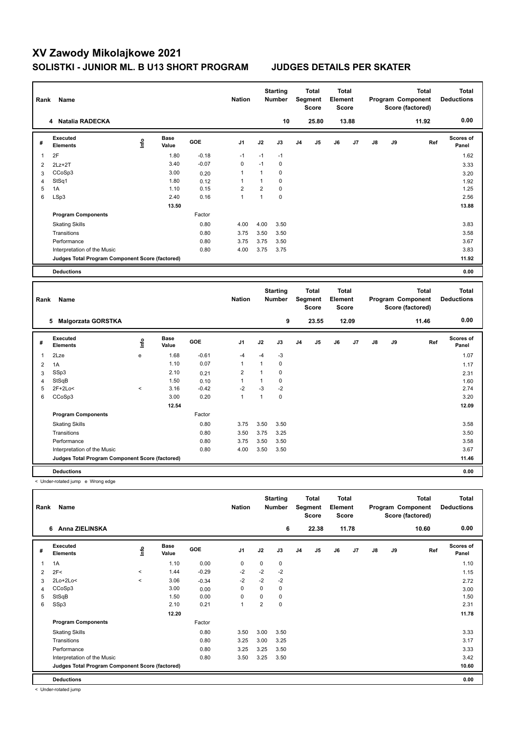| Rank           | Name                                                   |       |                      |            | <b>Nation</b>    |                         | <b>Starting</b><br>Number |    | <b>Total</b><br>Segment<br><b>Score</b> | <b>Total</b><br>Element<br><b>Score</b> |       |               |    | <b>Total</b><br>Program Component<br>Score (factored) | <b>Total</b><br><b>Deductions</b> |
|----------------|--------------------------------------------------------|-------|----------------------|------------|------------------|-------------------------|---------------------------|----|-----------------------------------------|-----------------------------------------|-------|---------------|----|-------------------------------------------------------|-----------------------------------|
|                | 4 Natalia RADECKA                                      |       |                      |            |                  |                         | 10                        |    | 25.80                                   |                                         | 13.88 |               |    | 11.92                                                 | 0.00                              |
| #              | <b>Executed</b><br><b>Elements</b>                     | lnfo  | <b>Base</b><br>Value | <b>GOE</b> | J <sub>1</sub>   | J2                      | J3                        | J4 | J5                                      | J6                                      | J7    | $\mathsf{J}8$ | J9 | Ref                                                   | Scores of<br>Panel                |
| 1              | 2F                                                     |       | 1.80                 | $-0.18$    | $-1$             | $-1$                    | $-1$                      |    |                                         |                                         |       |               |    |                                                       | 1.62                              |
| 2              | $2Lz + 2T$                                             |       | 3.40                 | $-0.07$    | $\mathbf 0$      | $-1$                    | $\mathbf 0$               |    |                                         |                                         |       |               |    |                                                       | 3.33                              |
| 3              | CCoSp3                                                 |       | 3.00                 | 0.20       | $\mathbf{1}$     | $\mathbf{1}$            | 0                         |    |                                         |                                         |       |               |    |                                                       | 3.20                              |
| 4              | StSq1                                                  |       | 1.80                 | 0.12       | $\mathbf{1}$     | $\mathbf{1}$            | $\Omega$                  |    |                                         |                                         |       |               |    |                                                       | 1.92                              |
| 5              | 1A                                                     |       | 1.10                 | 0.15       | $\boldsymbol{2}$ | $\overline{\mathbf{c}}$ | $\mathbf 0$               |    |                                         |                                         |       |               |    |                                                       | 1.25                              |
| 6              | LSp3                                                   |       | 2.40                 | 0.16       | $\overline{1}$   | $\mathbf{1}$            | $\mathbf 0$               |    |                                         |                                         |       |               |    |                                                       | 2.56                              |
|                |                                                        |       | 13.50                |            |                  |                         |                           |    |                                         |                                         |       |               |    |                                                       | 13.88                             |
|                | <b>Program Components</b>                              |       |                      | Factor     |                  |                         |                           |    |                                         |                                         |       |               |    |                                                       |                                   |
|                | <b>Skating Skills</b>                                  |       |                      | 0.80       | 4.00             | 4.00                    | 3.50                      |    |                                         |                                         |       |               |    |                                                       | 3.83                              |
|                | Transitions                                            |       |                      | 0.80       | 3.75             | 3.50                    | 3.50                      |    |                                         |                                         |       |               |    |                                                       | 3.58                              |
|                | Performance                                            |       |                      | 0.80       | 3.75             | 3.75                    | 3.50                      |    |                                         |                                         |       |               |    |                                                       | 3.67                              |
|                | Interpretation of the Music                            |       |                      | 0.80       | 4.00             | 3.75                    | 3.75                      |    |                                         |                                         |       |               |    |                                                       | 3.83                              |
|                | Judges Total Program Component Score (factored)        |       |                      |            |                  |                         |                           |    |                                         |                                         |       |               |    |                                                       | 11.92                             |
|                | <b>Deductions</b>                                      |       |                      |            |                  |                         |                           |    |                                         |                                         |       |               |    |                                                       | 0.00                              |
|                |                                                        |       |                      |            |                  |                         |                           |    |                                         |                                         |       |               |    |                                                       |                                   |
|                |                                                        |       |                      |            |                  |                         |                           |    |                                         |                                         |       |               |    |                                                       |                                   |
| Rank           | Name                                                   |       |                      |            | <b>Nation</b>    |                         | <b>Starting</b><br>Number |    | <b>Total</b><br>Segment<br><b>Score</b> | <b>Total</b><br>Element<br><b>Score</b> |       |               |    | <b>Total</b><br>Program Component<br>Score (factored) | <b>Total</b><br><b>Deductions</b> |
|                | 5 Malgorzata GORSTKA                                   |       |                      |            |                  |                         | 9                         |    | 23.55                                   |                                         | 12.09 |               |    | 11.46                                                 | 0.00                              |
| #              | Executed<br><b>Elements</b>                            | ١m    | <b>Base</b><br>Value | GOE        | J <sub>1</sub>   | J2                      | J3                        | J4 | J5                                      | J6                                      | J7    | J8            | J9 | Ref                                                   | <b>Scores of</b><br>Panel         |
| 1              | 2Lze                                                   | e     | 1.68                 | $-0.61$    | $-4$             | $-4$                    | -3                        |    |                                         |                                         |       |               |    |                                                       | 1.07                              |
| $\overline{2}$ | 1A                                                     |       | 1.10                 | 0.07       | $\mathbf{1}$     | $\mathbf{1}$            | $\mathbf 0$               |    |                                         |                                         |       |               |    |                                                       | 1.17                              |
| 3              | SSp3                                                   |       | 2.10                 | 0.21       | $\overline{2}$   | $\mathbf{1}$            | $\mathbf 0$               |    |                                         |                                         |       |               |    |                                                       | 2.31                              |
| 4              | StSqB                                                  |       | 1.50                 | 0.10       | $\mathbf{1}$     | $\mathbf{1}$            | $\mathbf 0$               |    |                                         |                                         |       |               |    |                                                       | 1.60                              |
| 5              | 2F+2Lo<                                                | $\,<$ | 3.16                 | $-0.42$    | $-2$             | $-3$                    | $-2$                      |    |                                         |                                         |       |               |    |                                                       | 2.74                              |
| 6              | CCoSp3                                                 |       | 3.00                 | 0.20       | $\mathbf{1}$     | $\mathbf{1}$            | $\mathbf 0$               |    |                                         |                                         |       |               |    |                                                       | 3.20                              |
|                |                                                        |       | 12.54                |            |                  |                         |                           |    |                                         |                                         |       |               |    |                                                       | 12.09                             |
|                | <b>Program Components</b>                              |       |                      | Factor     |                  |                         |                           |    |                                         |                                         |       |               |    |                                                       |                                   |
|                | <b>Skating Skills</b>                                  |       |                      | 0.80       | 3.75             | 3.50                    | 3.50                      |    |                                         |                                         |       |               |    |                                                       | 3.58                              |
|                | Transitions                                            |       |                      | 0.80       | 3.50             | 3.75                    | 3.25                      |    |                                         |                                         |       |               |    |                                                       | 3.50                              |
|                | Performance                                            |       |                      | 0.80       | 3.75             | 3.50                    | 3.50                      |    |                                         |                                         |       |               |    |                                                       | 3.58                              |
|                | Interpretation of the Music                            |       |                      | 0.80       | 4.00             | 3.50                    | 3.50                      |    |                                         |                                         |       |               |    |                                                       | 3.67                              |
|                | Judges Total Program Component Score (factored)        |       |                      |            |                  |                         |                           |    |                                         |                                         |       |               |    |                                                       | 11.46                             |
|                |                                                        |       |                      |            |                  |                         |                           |    |                                         |                                         |       |               |    |                                                       |                                   |
|                | <b>Deductions</b><br>< Under-rotated jump e Wrong edge |       |                      |            |                  |                         |                           |    |                                         |                                         |       |               |    |                                                       | 0.00                              |

| Rank | Name                                            |         |               |         | <b>Nation</b>  |                | <b>Starting</b><br><b>Number</b> |                | <b>Total</b><br>Segment<br><b>Score</b> | <b>Total</b><br>Element<br><b>Score</b> |       |               |    | <b>Total</b><br>Program Component<br>Score (factored) | <b>Total</b><br><b>Deductions</b> |
|------|-------------------------------------------------|---------|---------------|---------|----------------|----------------|----------------------------------|----------------|-----------------------------------------|-----------------------------------------|-------|---------------|----|-------------------------------------------------------|-----------------------------------|
|      | Anna ZIELINSKA<br>6                             |         |               |         |                |                | 6                                |                | 22.38                                   |                                         | 11.78 |               |    | 10.60                                                 | 0.00                              |
| #    | Executed<br><b>Elements</b>                     | ١nf٥    | Base<br>Value | GOE     | J <sub>1</sub> | J2             | J3                               | J <sub>4</sub> | J5                                      | J6                                      | J7    | $\mathsf{J}8$ | J9 | Ref                                                   | <b>Scores of</b><br>Panel         |
|      | 1A                                              |         | 1.10          | 0.00    | 0              | 0              | 0                                |                |                                         |                                         |       |               |    |                                                       | 1.10                              |
| 2    | 2F<                                             | $\,<\,$ | 1.44          | $-0.29$ | $-2$           | $-2$           | $-2$                             |                |                                         |                                         |       |               |    |                                                       | 1.15                              |
| 3    | $2Lo+2Lo<$                                      | $\prec$ | 3.06          | $-0.34$ | $-2$           | $-2$           | $-2$                             |                |                                         |                                         |       |               |    |                                                       | 2.72                              |
| 4    | CCoSp3                                          |         | 3.00          | 0.00    | 0              | 0              | 0                                |                |                                         |                                         |       |               |    |                                                       | 3.00                              |
| 5    | StSqB                                           |         | 1.50          | 0.00    | 0              | 0              | $\mathbf 0$                      |                |                                         |                                         |       |               |    |                                                       | 1.50                              |
| 6    | SSp3                                            |         | 2.10          | 0.21    | 1              | $\overline{2}$ | 0                                |                |                                         |                                         |       |               |    |                                                       | 2.31                              |
|      |                                                 |         | 12.20         |         |                |                |                                  |                |                                         |                                         |       |               |    |                                                       | 11.78                             |
|      | <b>Program Components</b>                       |         |               | Factor  |                |                |                                  |                |                                         |                                         |       |               |    |                                                       |                                   |
|      | <b>Skating Skills</b>                           |         |               | 0.80    | 3.50           | 3.00           | 3.50                             |                |                                         |                                         |       |               |    |                                                       | 3.33                              |
|      | Transitions                                     |         |               | 0.80    | 3.25           | 3.00           | 3.25                             |                |                                         |                                         |       |               |    |                                                       | 3.17                              |
|      | Performance                                     |         |               | 0.80    | 3.25           | 3.25           | 3.50                             |                |                                         |                                         |       |               |    |                                                       | 3.33                              |
|      | Interpretation of the Music                     |         |               | 0.80    | 3.50           | 3.25           | 3.50                             |                |                                         |                                         |       |               |    |                                                       | 3.42                              |
|      | Judges Total Program Component Score (factored) |         |               |         |                |                |                                  |                |                                         |                                         |       |               |    |                                                       | 10.60                             |
|      | <b>Deductions</b>                               |         |               |         |                |                |                                  |                |                                         |                                         |       |               |    |                                                       | 0.00                              |

< Under-rotated jump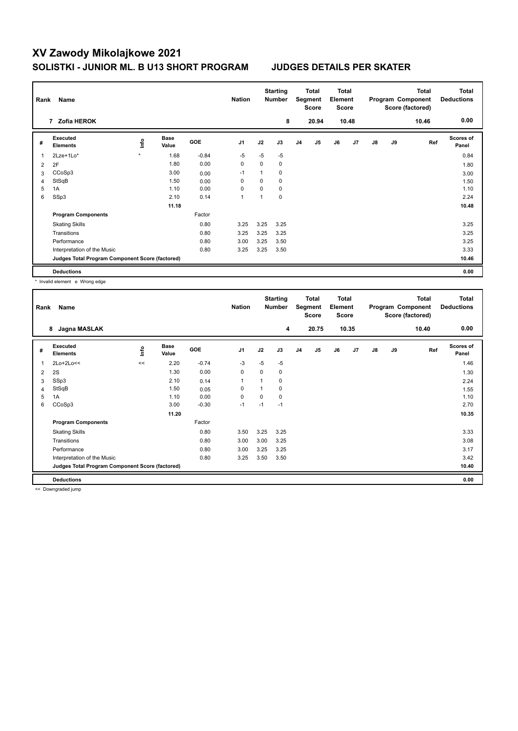| Rank | Name                                            |                          |                      |            | <b>Nation</b>  |      | <b>Starting</b><br>Number |                | <b>Total</b><br>Segment<br><b>Score</b> | <b>Total</b><br>Element<br><b>Score</b> |                |    |    | <b>Total</b><br>Program Component<br>Score (factored) | <b>Total</b><br><b>Deductions</b> |
|------|-------------------------------------------------|--------------------------|----------------------|------------|----------------|------|---------------------------|----------------|-----------------------------------------|-----------------------------------------|----------------|----|----|-------------------------------------------------------|-----------------------------------|
|      | 7 Zofia HEROK                                   |                          |                      |            |                |      | 8                         |                | 20.94                                   |                                         | 10.48          |    |    | 10.46                                                 | 0.00                              |
| #    | Executed<br><b>Elements</b>                     | $\mathop{\mathsf{Info}}$ | <b>Base</b><br>Value | <b>GOE</b> | J <sub>1</sub> | J2   | J3                        | J <sub>4</sub> | J <sub>5</sub>                          | J6                                      | J <sub>7</sub> | J8 | J9 | Ref                                                   | <b>Scores of</b><br>Panel         |
| 1    | 2Lze+1Lo*                                       | $\star$                  | 1.68                 | $-0.84$    | $-5$           | $-5$ | $-5$                      |                |                                         |                                         |                |    |    |                                                       | 0.84                              |
| 2    | 2F                                              |                          | 1.80                 | 0.00       | 0              | 0    | 0                         |                |                                         |                                         |                |    |    |                                                       | 1.80                              |
| 3    | CCoSp3                                          |                          | 3.00                 | 0.00       | $-1$           |      | 0                         |                |                                         |                                         |                |    |    |                                                       | 3.00                              |
| 4    | StSqB                                           |                          | 1.50                 | 0.00       | 0              | 0    | 0                         |                |                                         |                                         |                |    |    |                                                       | 1.50                              |
| 5    | 1A                                              |                          | 1.10                 | 0.00       | 0              | 0    | 0                         |                |                                         |                                         |                |    |    |                                                       | 1.10                              |
| 6    | SSp3                                            |                          | 2.10                 | 0.14       | 1              |      | 0                         |                |                                         |                                         |                |    |    |                                                       | 2.24                              |
|      |                                                 |                          | 11.18                |            |                |      |                           |                |                                         |                                         |                |    |    |                                                       | 10.48                             |
|      | <b>Program Components</b>                       |                          |                      | Factor     |                |      |                           |                |                                         |                                         |                |    |    |                                                       |                                   |
|      | <b>Skating Skills</b>                           |                          |                      | 0.80       | 3.25           | 3.25 | 3.25                      |                |                                         |                                         |                |    |    |                                                       | 3.25                              |
|      | Transitions                                     |                          |                      | 0.80       | 3.25           | 3.25 | 3.25                      |                |                                         |                                         |                |    |    |                                                       | 3.25                              |
|      | Performance                                     |                          |                      | 0.80       | 3.00           | 3.25 | 3.50                      |                |                                         |                                         |                |    |    |                                                       | 3.25                              |
|      | Interpretation of the Music                     |                          |                      | 0.80       | 3.25           | 3.25 | 3.50                      |                |                                         |                                         |                |    |    |                                                       | 3.33                              |
|      | Judges Total Program Component Score (factored) |                          |                      |            |                |      |                           |                |                                         |                                         |                |    |    |                                                       | 10.46                             |
|      | <b>Deductions</b>                               |                          |                      |            |                |      |                           |                |                                         |                                         |                |    |    |                                                       | 0.00                              |

\* Invalid element e Wrong edge

| Rank           | Name                                            |      |                      |            | <b>Nation</b>  |      | <b>Starting</b><br><b>Number</b> |                | Total<br>Segment<br><b>Score</b> | Total<br>Element<br><b>Score</b> |                |    |    | <b>Total</b><br>Program Component<br>Score (factored) | Total<br><b>Deductions</b> |
|----------------|-------------------------------------------------|------|----------------------|------------|----------------|------|----------------------------------|----------------|----------------------------------|----------------------------------|----------------|----|----|-------------------------------------------------------|----------------------------|
|                | Jagna MASLAK<br>8                               |      |                      |            |                |      | 4                                |                | 20.75                            |                                  | 10.35          |    |    | 10.40                                                 | 0.00                       |
| #              | Executed<br><b>Elements</b>                     | lnfo | <b>Base</b><br>Value | <b>GOE</b> | J <sub>1</sub> | J2   | J3                               | J <sub>4</sub> | J <sub>5</sub>                   | J6                               | J <sub>7</sub> | J8 | J9 | Ref                                                   | <b>Scores of</b><br>Panel  |
| $\overline{1}$ | $2Lo+2Lo<<$                                     | <<   | 2.20                 | $-0.74$    | $-3$           | $-5$ | $-5$                             |                |                                  |                                  |                |    |    |                                                       | 1.46                       |
| 2              | 2S                                              |      | 1.30                 | 0.00       | $\mathbf 0$    | 0    | 0                                |                |                                  |                                  |                |    |    |                                                       | 1.30                       |
| 3              | SSp3                                            |      | 2.10                 | 0.14       | $\overline{1}$ | 1    | 0                                |                |                                  |                                  |                |    |    |                                                       | 2.24                       |
| $\overline{4}$ | StSqB                                           |      | 1.50                 | 0.05       | 0              | 1    | 0                                |                |                                  |                                  |                |    |    |                                                       | 1.55                       |
| 5              | 1A                                              |      | 1.10                 | 0.00       | $\mathbf 0$    | 0    | 0                                |                |                                  |                                  |                |    |    |                                                       | 1.10                       |
| 6              | CCoSp3                                          |      | 3.00                 | $-0.30$    | $-1$           | $-1$ | $-1$                             |                |                                  |                                  |                |    |    |                                                       | 2.70                       |
|                |                                                 |      | 11.20                |            |                |      |                                  |                |                                  |                                  |                |    |    |                                                       | 10.35                      |
|                | <b>Program Components</b>                       |      |                      | Factor     |                |      |                                  |                |                                  |                                  |                |    |    |                                                       |                            |
|                | <b>Skating Skills</b>                           |      |                      | 0.80       | 3.50           | 3.25 | 3.25                             |                |                                  |                                  |                |    |    |                                                       | 3.33                       |
|                | Transitions                                     |      |                      | 0.80       | 3.00           | 3.00 | 3.25                             |                |                                  |                                  |                |    |    |                                                       | 3.08                       |
|                | Performance                                     |      |                      | 0.80       | 3.00           | 3.25 | 3.25                             |                |                                  |                                  |                |    |    |                                                       | 3.17                       |
|                | Interpretation of the Music                     |      |                      | 0.80       | 3.25           | 3.50 | 3.50                             |                |                                  |                                  |                |    |    |                                                       | 3.42                       |
|                | Judges Total Program Component Score (factored) |      |                      |            |                |      |                                  |                |                                  |                                  |                |    |    |                                                       | 10.40                      |
|                | <b>Deductions</b>                               |      |                      |            |                |      |                                  |                |                                  |                                  |                |    |    |                                                       | 0.00                       |

<< Downgraded jump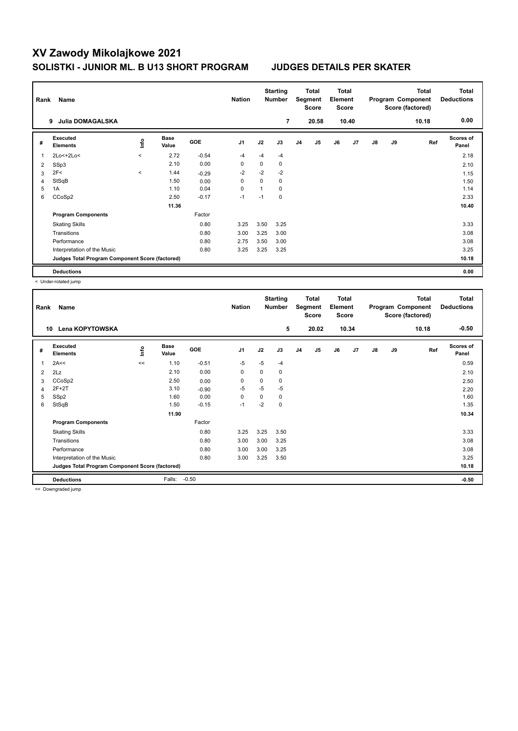| Rank | Name                                            |                          |                      |            | <b>Nation</b>  |      | <b>Starting</b><br><b>Number</b> |                | <b>Total</b><br>Segment<br><b>Score</b> | <b>Total</b><br>Element<br><b>Score</b> |       |    |    | <b>Total</b><br>Program Component<br>Score (factored) | <b>Total</b><br><b>Deductions</b> |
|------|-------------------------------------------------|--------------------------|----------------------|------------|----------------|------|----------------------------------|----------------|-----------------------------------------|-----------------------------------------|-------|----|----|-------------------------------------------------------|-----------------------------------|
|      | <b>Julia DOMAGALSKA</b><br>9                    |                          |                      |            |                |      | 7                                |                | 20.58                                   |                                         | 10.40 |    |    | 10.18                                                 | 0.00                              |
| #    | Executed<br><b>Elements</b>                     | ١nf٥                     | <b>Base</b><br>Value | <b>GOE</b> | J <sub>1</sub> | J2   | J3                               | J <sub>4</sub> | J <sub>5</sub>                          | J6                                      | J7    | J8 | J9 | Ref                                                   | <b>Scores of</b><br>Panel         |
| 1    | 2Lo<+2Lo<                                       | $\overline{\phantom{a}}$ | 2.72                 | $-0.54$    | -4             | $-4$ | $-4$                             |                |                                         |                                         |       |    |    |                                                       | 2.18                              |
| 2    | SSp3                                            |                          | 2.10                 | 0.00       | 0              | 0    | 0                                |                |                                         |                                         |       |    |    |                                                       | 2.10                              |
| 3    | 2F<                                             | $\prec$                  | 1.44                 | $-0.29$    | $-2$           | $-2$ | $-2$                             |                |                                         |                                         |       |    |    |                                                       | 1.15                              |
| 4    | StSqB                                           |                          | 1.50                 | 0.00       | 0              | 0    | 0                                |                |                                         |                                         |       |    |    |                                                       | 1.50                              |
| 5    | 1A                                              |                          | 1.10                 | 0.04       | 0              |      | 0                                |                |                                         |                                         |       |    |    |                                                       | 1.14                              |
| 6    | CCoSp2                                          |                          | 2.50                 | $-0.17$    | $-1$           | $-1$ | $\mathbf 0$                      |                |                                         |                                         |       |    |    |                                                       | 2.33                              |
|      |                                                 |                          | 11.36                |            |                |      |                                  |                |                                         |                                         |       |    |    |                                                       | 10.40                             |
|      | <b>Program Components</b>                       |                          |                      | Factor     |                |      |                                  |                |                                         |                                         |       |    |    |                                                       |                                   |
|      | <b>Skating Skills</b>                           |                          |                      | 0.80       | 3.25           | 3.50 | 3.25                             |                |                                         |                                         |       |    |    |                                                       | 3.33                              |
|      | Transitions                                     |                          |                      | 0.80       | 3.00           | 3.25 | 3.00                             |                |                                         |                                         |       |    |    |                                                       | 3.08                              |
|      | Performance                                     |                          |                      | 0.80       | 2.75           | 3.50 | 3.00                             |                |                                         |                                         |       |    |    |                                                       | 3.08                              |
|      | Interpretation of the Music                     |                          |                      | 0.80       | 3.25           | 3.25 | 3.25                             |                |                                         |                                         |       |    |    |                                                       | 3.25                              |
|      | Judges Total Program Component Score (factored) |                          |                      |            |                |      |                                  |                |                                         |                                         |       |    |    |                                                       | 10.18                             |
|      | <b>Deductions</b>                               |                          |                      |            |                |      |                                  |                |                                         |                                         |       |    |    |                                                       | 0.00                              |

< Under-rotated jump

| Rank           | Name<br><b>Lena KOPYTOWSKA</b><br>10            |      |                      |            | <b>Nation</b>  |          | <b>Starting</b><br><b>Number</b><br>5 |                | <b>Total</b><br>Segment<br><b>Score</b><br>20.02 | <b>Total</b><br>Element<br><b>Score</b> | 10.34 |               |    | <b>Total</b><br>Program Component<br>Score (factored)<br>10.18 | <b>Total</b><br><b>Deductions</b><br>$-0.50$ |
|----------------|-------------------------------------------------|------|----------------------|------------|----------------|----------|---------------------------------------|----------------|--------------------------------------------------|-----------------------------------------|-------|---------------|----|----------------------------------------------------------------|----------------------------------------------|
|                |                                                 |      |                      |            |                |          |                                       |                |                                                  |                                         |       |               |    |                                                                |                                              |
| #              | Executed<br><b>Elements</b>                     | ١nf٥ | <b>Base</b><br>Value | <b>GOE</b> | J <sub>1</sub> | J2       | J3                                    | J <sub>4</sub> | J5                                               | J6                                      | J7    | $\mathsf{J}8$ | J9 | Ref                                                            | <b>Scores of</b><br>Panel                    |
| 1              | 2A<<                                            | <<   | 1.10                 | $-0.51$    | $-5$           | $-5$     | $-4$                                  |                |                                                  |                                         |       |               |    |                                                                | 0.59                                         |
| 2              | 2Lz                                             |      | 2.10                 | 0.00       | 0              | 0        | 0                                     |                |                                                  |                                         |       |               |    |                                                                | 2.10                                         |
| 3              | CCoSp2                                          |      | 2.50                 | 0.00       | 0              | $\Omega$ | 0                                     |                |                                                  |                                         |       |               |    |                                                                | 2.50                                         |
| $\overline{4}$ | $2F+2T$                                         |      | 3.10                 | $-0.90$    | $-5$           | $-5$     | $-5$                                  |                |                                                  |                                         |       |               |    |                                                                | 2.20                                         |
| 5              | SSp2                                            |      | 1.60                 | 0.00       | 0              | $\Omega$ | 0                                     |                |                                                  |                                         |       |               |    |                                                                | 1.60                                         |
| 6              | StSqB                                           |      | 1.50                 | $-0.15$    | $-1$           | $-2$     | 0                                     |                |                                                  |                                         |       |               |    |                                                                | 1.35                                         |
|                |                                                 |      | 11.90                |            |                |          |                                       |                |                                                  |                                         |       |               |    |                                                                | 10.34                                        |
|                | <b>Program Components</b>                       |      |                      | Factor     |                |          |                                       |                |                                                  |                                         |       |               |    |                                                                |                                              |
|                | <b>Skating Skills</b>                           |      |                      | 0.80       | 3.25           | 3.25     | 3.50                                  |                |                                                  |                                         |       |               |    |                                                                | 3.33                                         |
|                | Transitions                                     |      |                      | 0.80       | 3.00           | 3.00     | 3.25                                  |                |                                                  |                                         |       |               |    |                                                                | 3.08                                         |
|                | Performance                                     |      |                      | 0.80       | 3.00           | 3.00     | 3.25                                  |                |                                                  |                                         |       |               |    |                                                                | 3.08                                         |
|                | Interpretation of the Music                     |      |                      | 0.80       | 3.00           | 3.25     | 3.50                                  |                |                                                  |                                         |       |               |    |                                                                | 3.25                                         |
|                | Judges Total Program Component Score (factored) |      |                      |            |                |          |                                       |                |                                                  |                                         |       |               |    |                                                                | 10.18                                        |
|                | <b>Deductions</b>                               |      | Falls:               | $-0.50$    |                |          |                                       |                |                                                  |                                         |       |               |    |                                                                | $-0.50$                                      |

<< Downgraded jump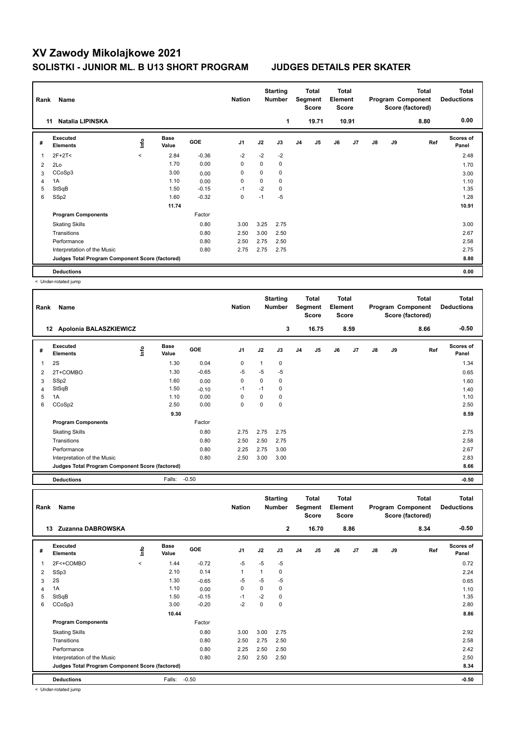| Rank | Name                                            |         |                      |         | <b>Nation</b>  |      | <b>Starting</b><br><b>Number</b> |                | <b>Total</b><br>Segment<br><b>Score</b> | <b>Total</b><br>Element<br><b>Score</b> |       |    |    | <b>Total</b><br>Program Component<br>Score (factored) | <b>Total</b><br><b>Deductions</b> |
|------|-------------------------------------------------|---------|----------------------|---------|----------------|------|----------------------------------|----------------|-----------------------------------------|-----------------------------------------|-------|----|----|-------------------------------------------------------|-----------------------------------|
|      | <b>Natalia LIPINSKA</b><br>11                   |         |                      |         |                |      | 1                                |                | 19.71                                   |                                         | 10.91 |    |    | 8.80                                                  | 0.00                              |
| #    | Executed<br><b>Elements</b>                     | ١nf٥    | <b>Base</b><br>Value | GOE     | J <sub>1</sub> | J2   | J3                               | J <sub>4</sub> | J <sub>5</sub>                          | J6                                      | J7    | J8 | J9 | Ref                                                   | <b>Scores of</b><br>Panel         |
| 1    | $2F+2T2$                                        | $\prec$ | 2.84                 | $-0.36$ | $-2$           | $-2$ | $-2$                             |                |                                         |                                         |       |    |    |                                                       | 2.48                              |
| 2    | 2Lo                                             |         | 1.70                 | 0.00    | 0              | 0    | $\mathbf 0$                      |                |                                         |                                         |       |    |    |                                                       | 1.70                              |
| 3    | CCoSp3                                          |         | 3.00                 | 0.00    | 0              | 0    | 0                                |                |                                         |                                         |       |    |    |                                                       | 3.00                              |
| 4    | 1A                                              |         | 1.10                 | 0.00    | 0              | 0    | 0                                |                |                                         |                                         |       |    |    |                                                       | 1.10                              |
| 5    | StSqB                                           |         | 1.50                 | $-0.15$ | $-1$           | $-2$ | $\mathbf 0$                      |                |                                         |                                         |       |    |    |                                                       | 1.35                              |
| 6    | SSp2                                            |         | 1.60                 | $-0.32$ | 0              | $-1$ | $-5$                             |                |                                         |                                         |       |    |    |                                                       | 1.28                              |
|      |                                                 |         | 11.74                |         |                |      |                                  |                |                                         |                                         |       |    |    |                                                       | 10.91                             |
|      | <b>Program Components</b>                       |         |                      | Factor  |                |      |                                  |                |                                         |                                         |       |    |    |                                                       |                                   |
|      | <b>Skating Skills</b>                           |         |                      | 0.80    | 3.00           | 3.25 | 2.75                             |                |                                         |                                         |       |    |    |                                                       | 3.00                              |
|      | Transitions                                     |         |                      | 0.80    | 2.50           | 3.00 | 2.50                             |                |                                         |                                         |       |    |    |                                                       | 2.67                              |
|      | Performance                                     |         |                      | 0.80    | 2.50           | 2.75 | 2.50                             |                |                                         |                                         |       |    |    |                                                       | 2.58                              |
|      | Interpretation of the Music                     |         |                      | 0.80    | 2.75           | 2.75 | 2.75                             |                |                                         |                                         |       |    |    |                                                       | 2.75                              |
|      | Judges Total Program Component Score (factored) |         |                      |         |                |      |                                  |                |                                         |                                         |       |    |    |                                                       | 8.80                              |
|      | <b>Deductions</b>                               |         |                      |         |                |      |                                  |                |                                         |                                         |       |    |    |                                                       | 0.00                              |

< Under-rotated jump

 $\mathbf{r}$ 

| Rank | Name                                            |      |                      |         | <b>Nation</b>  |          | <b>Starting</b><br><b>Number</b> |                | Total<br>Segment<br><b>Score</b> | <b>Total</b><br>Element<br><b>Score</b> |      |    |    | Total<br>Program Component<br>Score (factored) | <b>Total</b><br><b>Deductions</b> |
|------|-------------------------------------------------|------|----------------------|---------|----------------|----------|----------------------------------|----------------|----------------------------------|-----------------------------------------|------|----|----|------------------------------------------------|-----------------------------------|
|      | Apolonia BALASZKIEWICZ<br>12 <sup>12</sup>      |      |                      |         |                |          | 3                                |                | 16.75                            |                                         | 8.59 |    |    | 8.66                                           | $-0.50$                           |
| #    | <b>Executed</b><br><b>Elements</b>              | ١nfo | <b>Base</b><br>Value | GOE     | J <sub>1</sub> | J2       | J3                               | J <sub>4</sub> | J5                               | J6                                      | J7   | J8 | J9 | Ref                                            | Scores of<br>Panel                |
| 1    | 2S                                              |      | 1.30                 | 0.04    | 0              |          | 0                                |                |                                  |                                         |      |    |    |                                                | 1.34                              |
| 2    | 2T+COMBO                                        |      | 1.30                 | $-0.65$ | -5             | $-5$     | $-5$                             |                |                                  |                                         |      |    |    |                                                | 0.65                              |
| 3    | SS <sub>p2</sub>                                |      | 1.60                 | 0.00    | 0              | 0        | 0                                |                |                                  |                                         |      |    |    |                                                | 1.60                              |
| 4    | StSqB                                           |      | 1.50                 | $-0.10$ | $-1$           | $-1$     | 0                                |                |                                  |                                         |      |    |    |                                                | 1.40                              |
| 5    | 1A                                              |      | 1.10                 | 0.00    | 0              | 0        | 0                                |                |                                  |                                         |      |    |    |                                                | 1.10                              |
| 6    | CCoSp2                                          |      | 2.50                 | 0.00    | 0              | $\Omega$ | 0                                |                |                                  |                                         |      |    |    |                                                | 2.50                              |
|      |                                                 |      | 9.30                 |         |                |          |                                  |                |                                  |                                         |      |    |    |                                                | 8.59                              |
|      | <b>Program Components</b>                       |      |                      | Factor  |                |          |                                  |                |                                  |                                         |      |    |    |                                                |                                   |
|      | <b>Skating Skills</b>                           |      |                      | 0.80    | 2.75           | 2.75     | 2.75                             |                |                                  |                                         |      |    |    |                                                | 2.75                              |
|      | Transitions                                     |      |                      | 0.80    | 2.50           | 2.50     | 2.75                             |                |                                  |                                         |      |    |    |                                                | 2.58                              |
|      | Performance                                     |      |                      | 0.80    | 2.25           | 2.75     | 3.00                             |                |                                  |                                         |      |    |    |                                                | 2.67                              |
|      | Interpretation of the Music                     |      |                      | 0.80    | 2.50           | 3.00     | 3.00                             |                |                                  |                                         |      |    |    |                                                | 2.83                              |
|      | Judges Total Program Component Score (factored) |      |                      |         |                |          |                                  |                |                                  |                                         |      |    |    |                                                | 8.66                              |

**Deductions** Falls: -0.50 **-0.50**

| Rank | Name                                            |         |                      |            | <b>Nation</b>  |      | <b>Starting</b><br>Number |                | <b>Total</b><br>Segment<br><b>Score</b> | Total<br>Element<br>Score |      |    |    | <b>Total</b><br>Program Component<br>Score (factored) | <b>Total</b><br><b>Deductions</b> |
|------|-------------------------------------------------|---------|----------------------|------------|----------------|------|---------------------------|----------------|-----------------------------------------|---------------------------|------|----|----|-------------------------------------------------------|-----------------------------------|
|      | Zuzanna DABROWSKA<br>13                         |         |                      |            |                |      | $\mathbf{2}$              |                | 16.70                                   |                           | 8.86 |    |    | 8.34                                                  | $-0.50$                           |
| #    | Executed<br><b>Elements</b>                     | lnfo    | <b>Base</b><br>Value | <b>GOE</b> | J <sub>1</sub> | J2   | J3                        | J <sub>4</sub> | J <sub>5</sub>                          | J6                        | J7   | J8 | J9 | Ref                                                   | <b>Scores of</b><br>Panel         |
| 1    | 2F<+COMBO                                       | $\prec$ | 1.44                 | $-0.72$    | $-5$           | $-5$ | $-5$                      |                |                                         |                           |      |    |    |                                                       | 0.72                              |
| 2    | SSp3                                            |         | 2.10                 | 0.14       | 1              | 1    | 0                         |                |                                         |                           |      |    |    |                                                       | 2.24                              |
| 3    | 2S                                              |         | 1.30                 | $-0.65$    | $-5$           | $-5$ | $-5$                      |                |                                         |                           |      |    |    |                                                       | 0.65                              |
| 4    | 1A                                              |         | 1.10                 | 0.00       | 0              | 0    | 0                         |                |                                         |                           |      |    |    |                                                       | 1.10                              |
| 5    | StSqB                                           |         | 1.50                 | $-0.15$    | $-1$           | $-2$ | 0                         |                |                                         |                           |      |    |    |                                                       | 1.35                              |
| 6    | CCoSp3                                          |         | 3.00                 | $-0.20$    | $-2$           | 0    | 0                         |                |                                         |                           |      |    |    |                                                       | 2.80                              |
|      |                                                 |         | 10.44                |            |                |      |                           |                |                                         |                           |      |    |    |                                                       | 8.86                              |
|      | <b>Program Components</b>                       |         |                      | Factor     |                |      |                           |                |                                         |                           |      |    |    |                                                       |                                   |
|      | <b>Skating Skills</b>                           |         |                      | 0.80       | 3.00           | 3.00 | 2.75                      |                |                                         |                           |      |    |    |                                                       | 2.92                              |
|      | Transitions                                     |         |                      | 0.80       | 2.50           | 2.75 | 2.50                      |                |                                         |                           |      |    |    |                                                       | 2.58                              |
|      | Performance                                     |         |                      | 0.80       | 2.25           | 2.50 | 2.50                      |                |                                         |                           |      |    |    |                                                       | 2.42                              |
|      | Interpretation of the Music                     |         |                      | 0.80       | 2.50           | 2.50 | 2.50                      |                |                                         |                           |      |    |    |                                                       | 2.50                              |
|      | Judges Total Program Component Score (factored) |         |                      |            |                |      |                           |                |                                         |                           |      |    |    |                                                       | 8.34                              |
|      | <b>Deductions</b>                               |         | Falls:               | $-0.50$    |                |      |                           |                |                                         |                           |      |    |    |                                                       | $-0.50$                           |

< Under-rotated jump